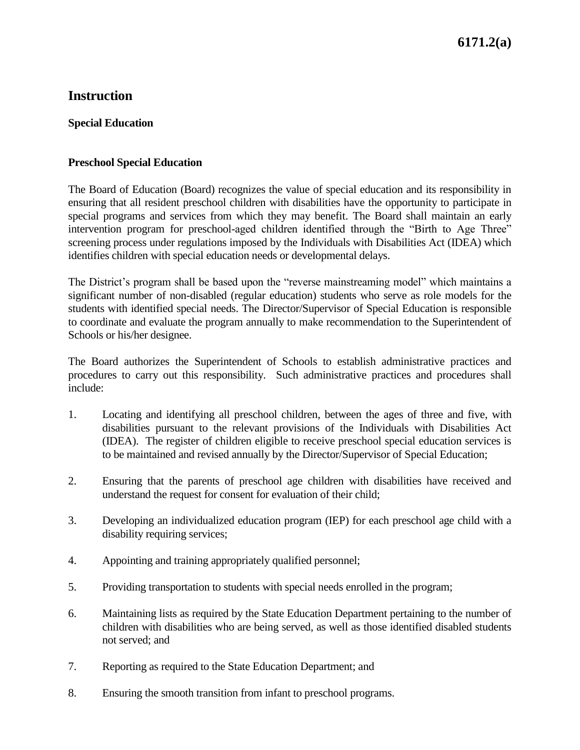# **Instruction**

#### **Special Education**

#### **Preschool Special Education**

The Board of Education (Board) recognizes the value of special education and its responsibility in ensuring that all resident preschool children with disabilities have the opportunity to participate in special programs and services from which they may benefit. The Board shall maintain an early intervention program for preschool-aged children identified through the "Birth to Age Three" screening process under regulations imposed by the Individuals with Disabilities Act (IDEA) which identifies children with special education needs or developmental delays.

The District's program shall be based upon the "reverse mainstreaming model" which maintains a significant number of non-disabled (regular education) students who serve as role models for the students with identified special needs. The Director/Supervisor of Special Education is responsible to coordinate and evaluate the program annually to make recommendation to the Superintendent of Schools or his/her designee.

The Board authorizes the Superintendent of Schools to establish administrative practices and procedures to carry out this responsibility. Such administrative practices and procedures shall include:

- 1. Locating and identifying all preschool children, between the ages of three and five, with disabilities pursuant to the relevant provisions of the Individuals with Disabilities Act (IDEA). The register of children eligible to receive preschool special education services is to be maintained and revised annually by the Director/Supervisor of Special Education;
- 2. Ensuring that the parents of preschool age children with disabilities have received and understand the request for consent for evaluation of their child;
- 3. Developing an individualized education program (IEP) for each preschool age child with a disability requiring services;
- 4. Appointing and training appropriately qualified personnel;
- 5. Providing transportation to students with special needs enrolled in the program;
- 6. Maintaining lists as required by the State Education Department pertaining to the number of children with disabilities who are being served, as well as those identified disabled students not served; and
- 7. Reporting as required to the State Education Department; and
- 8. Ensuring the smooth transition from infant to preschool programs.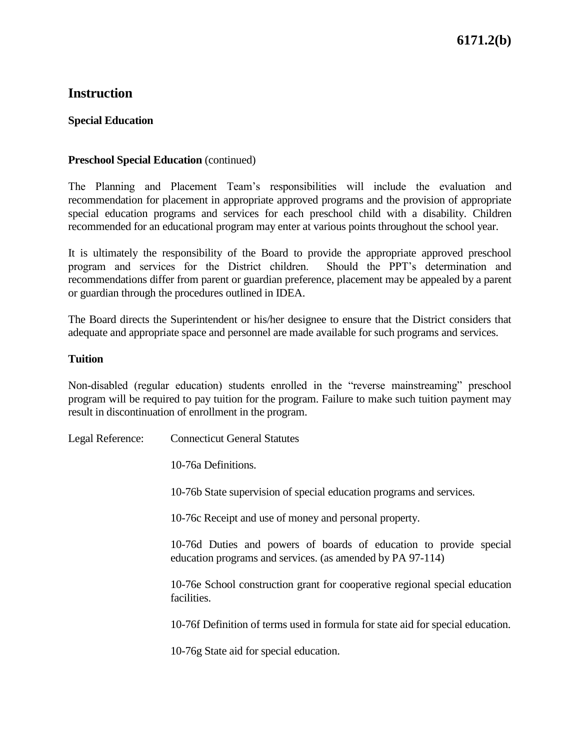# **Instruction**

#### **Special Education**

#### **Preschool Special Education** (continued)

The Planning and Placement Team's responsibilities will include the evaluation and recommendation for placement in appropriate approved programs and the provision of appropriate special education programs and services for each preschool child with a disability. Children recommended for an educational program may enter at various points throughout the school year.

It is ultimately the responsibility of the Board to provide the appropriate approved preschool program and services for the District children. Should the PPT's determination and recommendations differ from parent or guardian preference, placement may be appealed by a parent or guardian through the procedures outlined in IDEA.

The Board directs the Superintendent or his/her designee to ensure that the District considers that adequate and appropriate space and personnel are made available for such programs and services.

#### **Tuition**

Non-disabled (regular education) students enrolled in the "reverse mainstreaming" preschool program will be required to pay tuition for the program. Failure to make such tuition payment may result in discontinuation of enrollment in the program.

Legal Reference: Connecticut General Statutes 10-76a Definitions. 10-76b State supervision of special education programs and services. 10-76c Receipt and use of money and personal property. 10-76d Duties and powers of boards of education to provide special education programs and services. (as amended by PA 97-114) 10-76e School construction grant for cooperative regional special education facilities. 10-76f Definition of terms used in formula for state aid for special education. 10-76g State aid for special education.